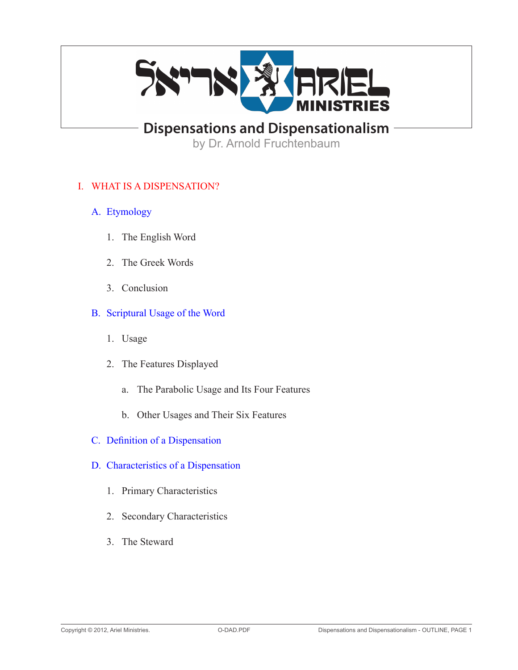

**Dispensations and Dispensationalism**

by Dr. Arnold Fruchtenbaum

# I. WHAT IS A DISPENSATION?

- A. Etymology
	- 1. The English Word
	- 2. The Greek Words
	- 3. Conclusion
- B. Scriptural Usage of the Word
	- 1. Usage
	- 2. The Features Displayed
		- a. The Parabolic Usage and Its Four Features
		- b. Other Usages and Their Six Features
- C. Definition of a Dispensation
- D. Characteristics of a Dispensation
	- 1. Primary Characteristics
	- 2. Secondary Characteristics
	- 3. The Steward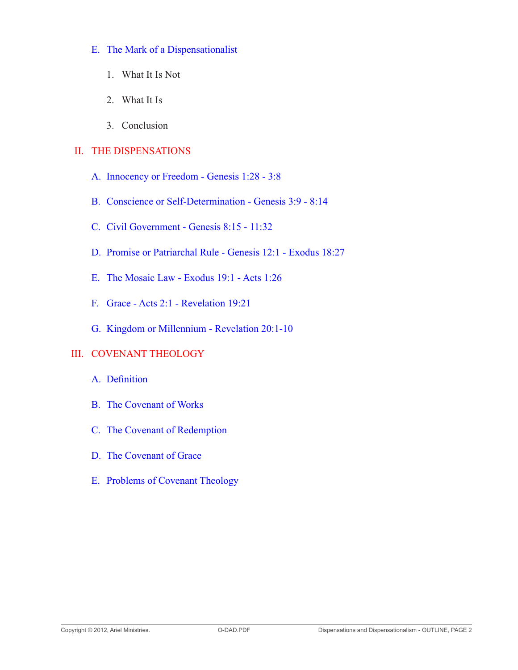# E. The Mark of a Dispensationalist

- 1. What It Is Not
- 2. What It Is
- 3. Conclusion

# II. THE DISPENSATIONS

- A. Innocency or Freedom Genesis 1:28 3:8
- B. Conscience or Self-Determination Genesis 3:9 8:14
- C. Civil Government Genesis 8:15 11:32
- D. Promise or Patriarchal Rule Genesis 12:1 Exodus 18:27
- E. The Mosaic Law Exodus 19:1 Acts 1:26
- F. Grace Acts 2:1 Revelation 19:21
- G. Kingdom or Millennium Revelation 20:1-10

# III. COVENANT THEOLOGY

- A. Definition
- B. The Covenant of Works
- C. The Covenant of Redemption
- D. The Covenant of Grace
- E. Problems of Covenant Theology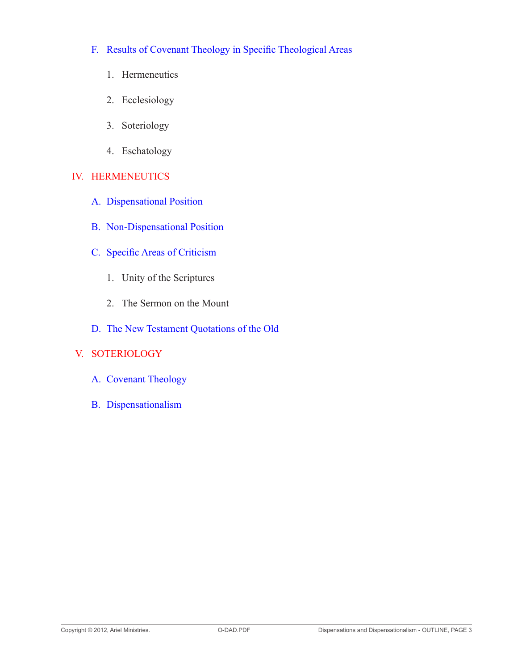- F. Results of Covenant Theology in Specific Theological Areas
	- 1. Hermeneutics
	- 2. Ecclesiology
	- 3. Soteriology
	- 4. Eschatology

# IV. HERMENEUTICS

- A. Dispensational Position
- B. Non-Dispensational Position
- C. Specific Areas of Criticism
	- 1. Unity of the Scriptures
	- 2. The Sermon on the Mount
- D. The New Testament Quotations of the Old

# V. SOTERIOLOGY

- A. Covenant Theology
- B. Dispensationalism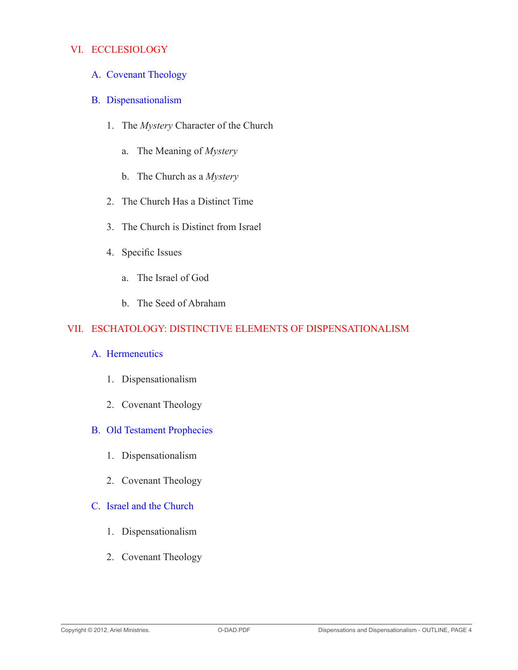# VI. ECCLESIOLOGY

- A. Covenant Theology
- B. Dispensationalism
	- 1. The *Mystery* Character of the Church
		- a. The Meaning of *Mystery*
		- b. The Church as a *Mystery*
	- 2. The Church Has a Distinct Time
	- 3. The Church is Distinct from Israel
	- 4. Specific Issues
		- a. The Israel of God
		- b. The Seed of Abraham

# VII. ESCHATOLOGY: DISTINCTIVE ELEMENTS OF DISPENSATIONALISM

#### A. Hermeneutics

- 1. Dispensationalism
- 2. Covenant Theology

### B. Old Testament Prophecies

- 1. Dispensationalism
- 2. Covenant Theology

# C. Israel and the Church

- 1. Dispensationalism
- 2. Covenant Theology